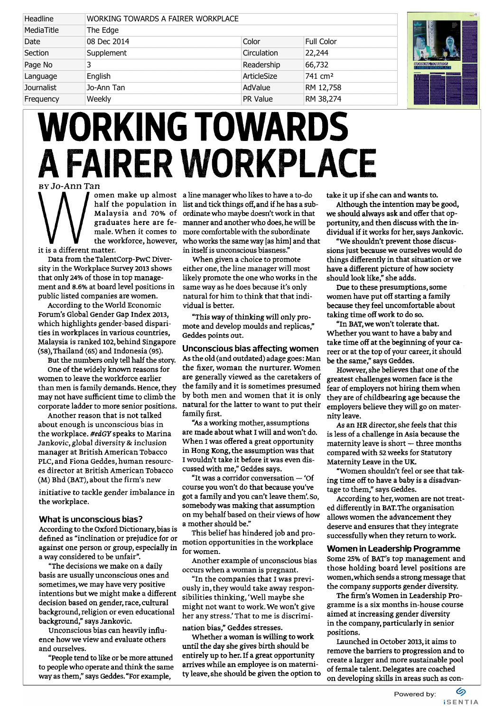| Headline          | WORKING TOWARDS A FAIRER WORKPLACE |             |                     |                                             |
|-------------------|------------------------------------|-------------|---------------------|---------------------------------------------|
| MediaTitle        | The Edge                           |             |                     |                                             |
| Date              | 08 Dec 2014                        | Color       | Full Color          |                                             |
| Section           | Supplement                         | Circulation | 22,244              |                                             |
| Page No           |                                    | Readership  | 66,732              | <b>WORKING TOWARDS</b><br>. FAIRER WORKPLAC |
| Language          | English                            | ArticleSize | 741 cm <sup>2</sup> |                                             |
| <b>Journalist</b> | Jo-Ann Tan                         | AdValue     | RM 12,758           |                                             |
| Frequency         | Weekly                             | PR Value    | RM 38,274           |                                             |

## WORKING TOWARDS A FAIRER WORKPLACE

by JoAnn Tan

it is a different matter.

Data from the TalentCorp-PwC Diversity in the Workplace Survey 2013 shows that only 24% of those in top management and 8.6% at board level positions in public listed companies are women.

According to the World Economic Forum's Global Gender Gap Index 2013, which highlights gender-based disparities in workplaces in various countries, Malaysia is ranked 102, behind Singapore (58), Thailand (65) and Indonesia (95).

But the numbers only tell half the story.

One of the widely known reasons for women to leave the workforce earlier than men is family demands. Hence, they may not have sufficient time to climb the corporate ladder to more senior positions.

Another reason that is not talked about enough is unconscious bias in the workplace. #edGY speaks to Marina Jankovic, global diversity & inclusion manager at British American Tobacco PLC, and Fiona Geddes, human resources director at British American Tobacco (M) Bhd (BAT), about the firm's new

initiative to tackle gender imbalance in the workplace.

## What is unconscious bias?

According to the Oxford Dictionary, bias is defined as "inclination or prejudice for or against one person or group, especially in a way considered to be unfair".

"The decisions we make on a daily basis are usually unconscious ones and sometimes, we may have very positive intentions but we might make a different decision based on gender, race, cultural background, religion or even educational background," says Jankovic.

Unconscious bias can heavily influence how we view and evaluate others and ourselves.

"People tend to like or be more attuned to people who operate and think the same way as them," says Geddes. "For example,

**N A** *c* comen make up almost a line manager who likes to have a to-do half the population in list and tick things off, and if he has a sub-Malaysia and 70% of ordinate who maybe doesn't work in that graduates here are fe-manner and another who does, he will be male. When it comes to more comfortable with the subordinate the workforce, however, who works the same way [as him] and that in itself is unconscious biasness."

> When given a choice to promote either one, the line manager will most likely promote the one who works in the same way as he does because it's only natural for him to think that that individual is better.

"This way of thinking will only promote and develop moulds and replicas," Geddes points out.

## Unconscious bias affecting women As the old (and outdated) adage goes: Man the fixer, woman the nurturer. Women are generally viewed as the caretakers of the family and it is sometimes presumed by both men and women that it is only natural for the latter to want to put their family first.

"As a working mother, assumptions are made about what I will and won't do. When I was offered a great opportunity in Hong Kong, the assumption was that I wouldn't take it before it was even discussed with me," Geddes says.

"It was a corridor conversation — 'Of course you won't do that because you've got a family and you can't leave them'. So, somebody was making that assumption on my behalf based on their views of how a mother should be."

This belief has hindered job and promotion opportunities in the workplace for women.

Another example of unconscious bias occurs when a woman is pregnant.

"In the companies that I was previously in, they would take away responsibilities thinking, 'Well maybe she might not want to work. We won't give her any stress.' That to me is discrimination bias," Geddes stresses.

Whether a woman is willing to work until the day she gives birth should be entirely up to her. If a great opportunity arrives while an employee is on maternity leave, she should be given the option to take it up if she can and wants to.

Although the intention may be good, we should always ask and offer that opportunity, and then discuss with the individual if it works for her, says Jankovic.

"We shouldn't prevent those discussions just because we ourselves would do things differently in that situation or we have a different picture of how society should look like," she adds.

Due to these presumptions, some women have put off starting a family because they feel uncomfortable about taking time off work to do so.

"In BAT, we won't tolerate that. Whether you want to have a baby and take time off at the beginning of your career or at the top of your career, it should be the same," says Geddes.

However, she believes that one of the greatest challenges women face is the fear of employers not hiring them when they are of childbearing age because the employers believe they will go on maternity leave.

As an HR director, she feels that this is less of a challenge in Asia because the maternity leave is short — three months compared with 52 weeks for Statutory Maternity Leave in the UK.

"Women shouldn't feel or see that taking time off to have a baby is a disadvantage to them," says Geddes.

According to her, women are not treated differently in BAT. The organisation allows women the advancement they deserve and ensures that they integrate successfully when they return to work.

Women in Leadership Programme Some 25% of BAT's top management and those holding board level positions are women, which sends a strong message that the company supports gender diversity.

The firm's Women in Leadership Programme is a six months in-house course aimed at increasing gender diversity in the company, particularly in senior positions.

Launched in October 2013, it aims to remove the barriers to progression and to create a larger and more sustainable pool of female talent. Delegates are coached on developing skills in areas such as con-